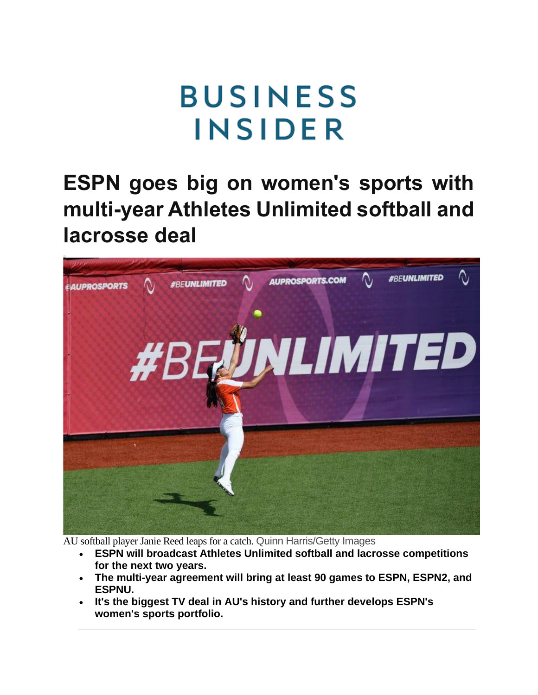## **BUSINESS INSIDER**

**ESPN goes big on women's sports with multi-year Athletes Unlimited softball and lacrosse deal**



AU softball player Janie Reed leaps for a catch. Quinn Harris/Getty Images

- **ESPN will broadcast Athletes Unlimited softball and lacrosse competitions for the next two years.**
- **The multi-year agreement will bring at least 90 games to ESPN, ESPN2, and ESPNU.**
- **It's the biggest TV deal in AU's history and further develops ESPN's women's sports portfolio.**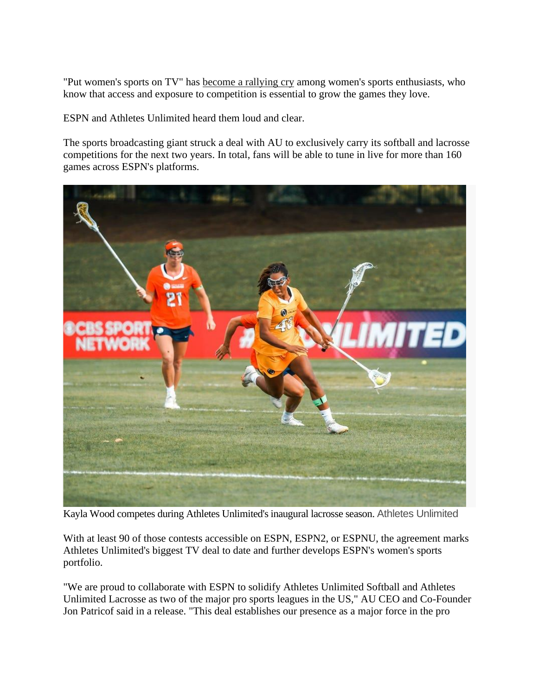"Put women's sports on TV" has [become a rallying cry](https://breakingt.com/products/put-womens-sports-on-tv) among women's sports enthusiasts, who know that access and exposure to competition is essential to grow the games they love.

ESPN and Athletes Unlimited heard them loud and clear.

The sports broadcasting giant struck a deal with AU to exclusively carry its softball and lacrosse competitions for the next two years. In total, fans will be able to tune in live for more than 160 games across ESPN's platforms.



Kayla Wood competes during Athletes Unlimited's inaugural lacrosse season. Athletes Unlimited

With at least 90 of those contests accessible on ESPN, ESPN2, or ESPNU, the agreement marks Athletes Unlimited's biggest TV deal to date and further develops ESPN's women's sports portfolio.

"We are proud to collaborate with ESPN to solidify Athletes Unlimited Softball and Athletes Unlimited Lacrosse as two of the major pro sports leagues in the US," AU CEO and Co-Founder Jon Patricof said in a release. "This deal establishes our presence as a major force in the pro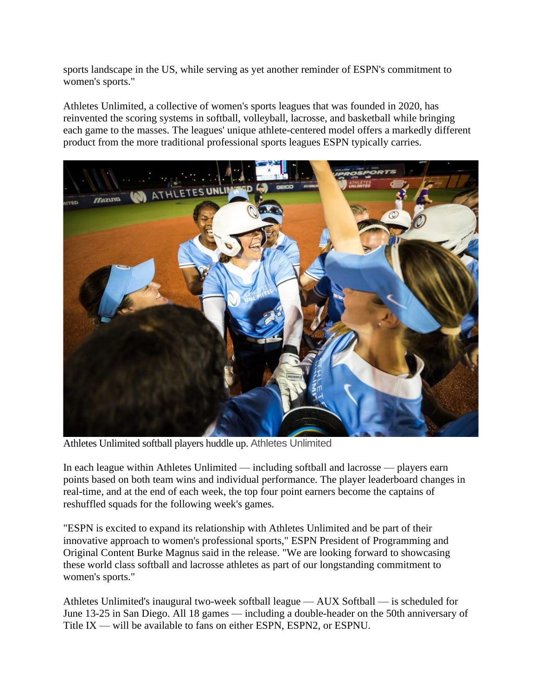sports landscape in the US, while serving as yet another reminder of ESPN's commitment to women's sports."

Athletes Unlimited, a collective of women's sports leagues that was founded in 2020, has reinvented the scoring systems in softball, volleyball, lacrosse, and basketball while bringing each game to the masses. The leagues' unique athlete-centered model offers a markedly different product from the more traditional professional sports leagues ESPN typically carries.



Athletes Unlimited softball players huddle up. Athletes Unlimited

In each league within Athletes Unlimited — including softball and lacrosse — players earn points based on both team wins and individual performance. The player leaderboard changes in real-time, and at the end of each week, the top four point earners become the captains of reshuffled squads for the following week's games.

"ESPN is excited to expand its relationship with Athletes Unlimited and be part of their innovative approach to women's professional sports," ESPN President of Programming and Original Content Burke Magnus said in the release. "We are looking forward to showcasing these world class softball and lacrosse athletes as part of our longstanding commitment to women's sports."

Athletes Unlimited's inaugural two-week softball league — AUX Softball — is scheduled for June 13-25 in San Diego. All 18 games — including a double-header on the 50th anniversary of Title IX — will be available to fans on either ESPN, ESPN2, or ESPNU.